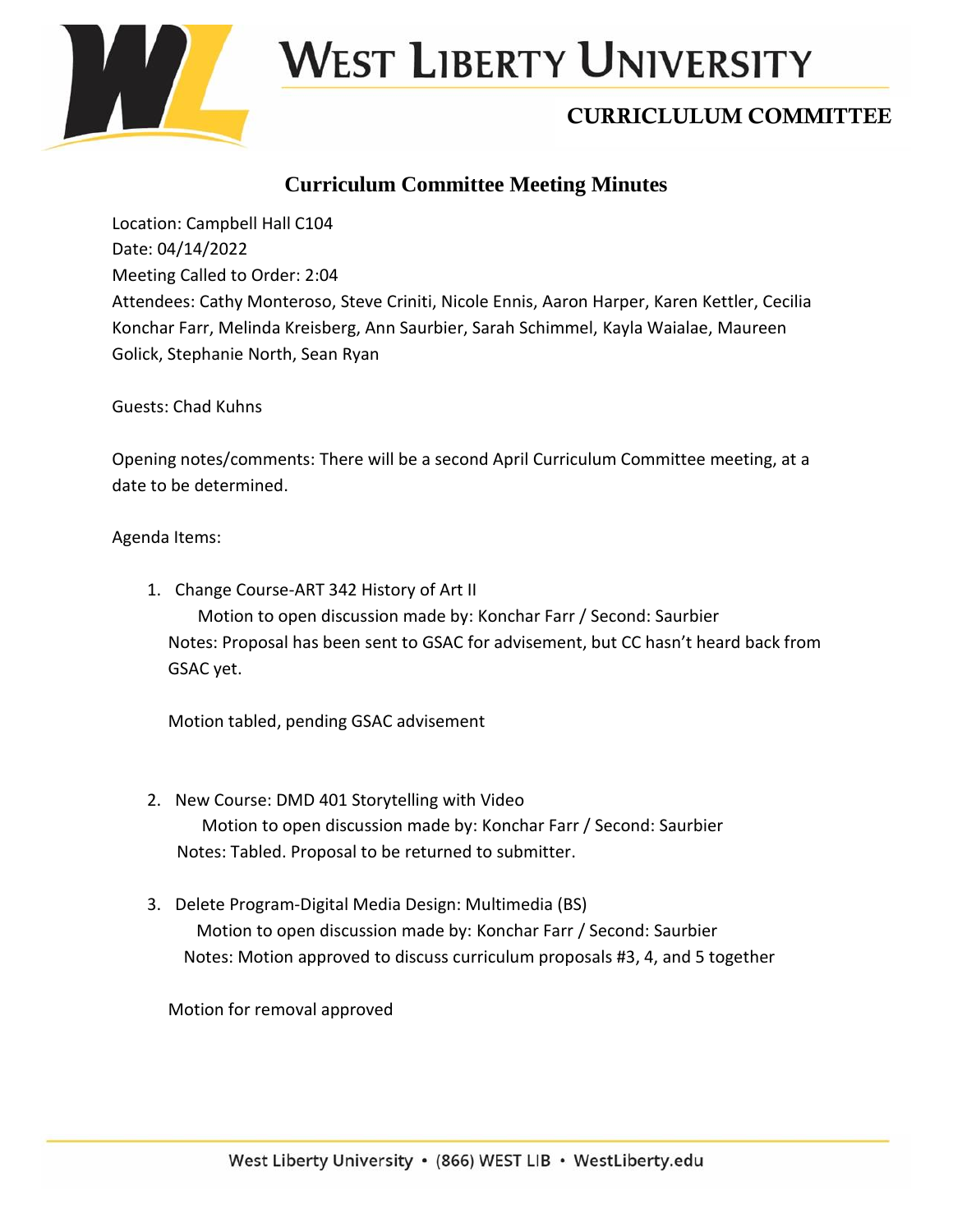

# West Liberty University

# CURRICLULUM COMMITTEE

### **Curriculum Committee Meeting Minutes**

Location: Campbell Hall C104 Date: 04/14/2022 Meeting Called to Order: 2:04 Attendees: Cathy Monteroso, Steve Criniti, Nicole Ennis, Aaron Harper, Karen Kettler, Cecilia Konchar Farr, Melinda Kreisberg, Ann Saurbier, Sarah Schimmel, Kayla Waialae, Maureen Golick, Stephanie North, Sean Ryan

Guests: Chad Kuhns

Opening notes/comments: There will be a second April Curriculum Committee meeting, at a date to be determined.

#### Agenda Items:

1. Change Course-ART 342 History of Art II Motion to open discussion made by: Konchar Farr / Second: Saurbier Notes: Proposal has been sent to GSAC for advisement, but CC hasn't heard back from GSAC yet.

Motion tabled, pending GSAC advisement

- 2. New Course: DMD 401 Storytelling with Video Motion to open discussion made by: Konchar Farr / Second: Saurbier Notes: Tabled. Proposal to be returned to submitter.
- 3. Delete Program-Digital Media Design: Multimedia (BS) Motion to open discussion made by: Konchar Farr / Second: Saurbier Notes: Motion approved to discuss curriculum proposals #3, 4, and 5 together

Motion for removal approved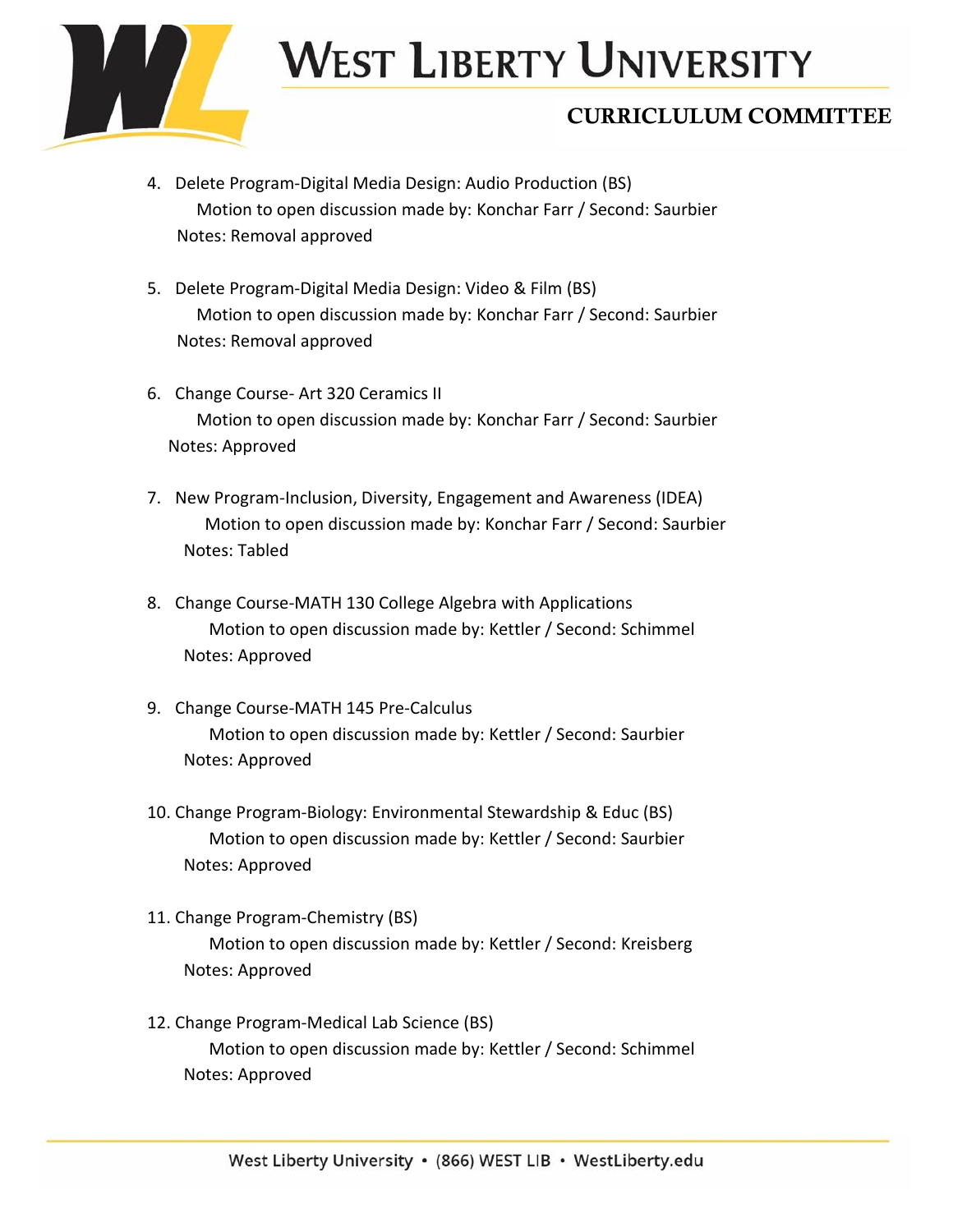

# West Liberty University

## CURRICLULUM COMMITTEE

- 4. Delete Program-Digital Media Design: Audio Production (BS) Motion to open discussion made by: Konchar Farr / Second: Saurbier Notes: Removal approved
- 5. Delete Program-Digital Media Design: Video & Film (BS) Motion to open discussion made by: Konchar Farr / Second: Saurbier Notes: Removal approved
- 6. Change Course- Art 320 Ceramics II Motion to open discussion made by: Konchar Farr / Second: Saurbier Notes: Approved
- 7. New Program-Inclusion, Diversity, Engagement and Awareness (IDEA) Motion to open discussion made by: Konchar Farr / Second: Saurbier Notes: Tabled
- 8. Change Course-MATH 130 College Algebra with Applications Motion to open discussion made by: Kettler / Second: Schimmel Notes: Approved
- 9. Change Course-MATH 145 Pre-Calculus Motion to open discussion made by: Kettler / Second: Saurbier Notes: Approved
- 10. Change Program-Biology: Environmental Stewardship & Educ (BS) Motion to open discussion made by: Kettler / Second: Saurbier Notes: Approved
- 11. Change Program-Chemistry (BS) Motion to open discussion made by: Kettler / Second: Kreisberg Notes: Approved
- 12. Change Program-Medical Lab Science (BS) Motion to open discussion made by: Kettler / Second: Schimmel Notes: Approved